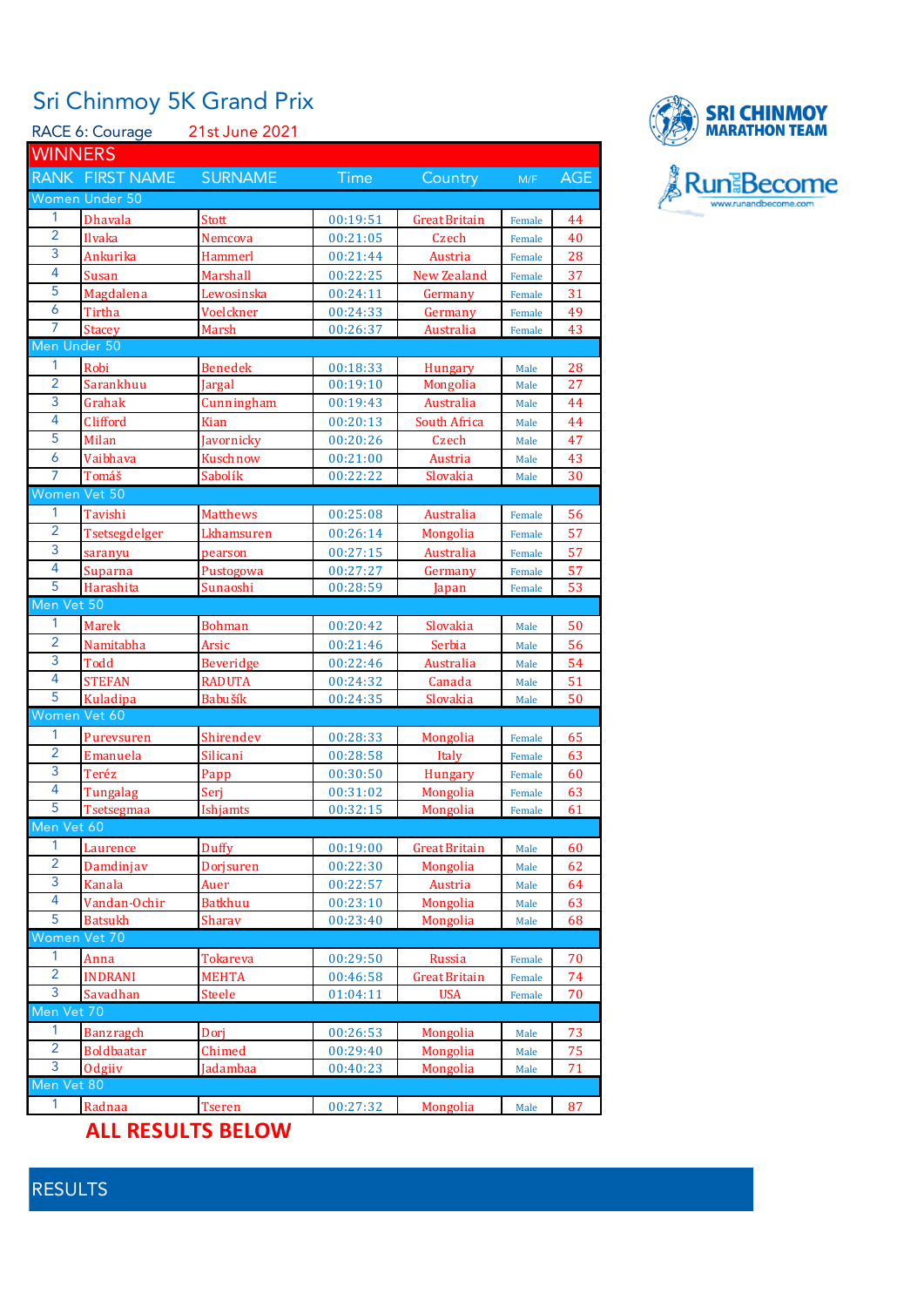## Sri Chinmoy 5K Grand Prix

|                         | RACE 6: Courage          | 21st June 2021   |             |                      |                  |     |
|-------------------------|--------------------------|------------------|-------------|----------------------|------------------|-----|
| <b>WINNERS</b>          |                          |                  |             |                      |                  |     |
|                         | RANK FIRST NAME          | <b>SURNAME</b>   | <b>Time</b> | Country              | M/F              | AGE |
|                         | Women Under 50           |                  |             |                      |                  |     |
| 1                       | <b>Dhavala</b>           | Stott            | 00:19:51    | Great Britain        | Female           | 44  |
| $\overline{2}$          | Ilvaka                   | Nemcova          | 00:21:05    | Czech                | Female           | 40  |
| 3                       | Ankurika                 | Hammerl          | 00:21:44    | Austria              | Female           | 28  |
| 4                       | Susan                    | Marshall         | 00:22:25    | New Zealand          | Female           | 37  |
| 5                       | Magdalena                | Lewosinska       | 00:24:11    | Germany              | Female           | 31  |
| 6                       | Tirtha                   | Voelckner        | 00:24:33    | Germany              | Female           | 49  |
| 7                       | <b>Stacey</b>            | Marsh            | 00:26:37    | Australia            | Female           | 43  |
| Men Under 50            |                          |                  |             |                      |                  |     |
| 1                       | Robi                     | <b>Benedek</b>   | 00:18:33    | <b>Hungary</b>       | Male             | 28  |
| $\overline{2}$          | Sarankhuu                | Jargal           | 00:19:10    | Mongolia             | Male             | 27  |
| 3                       | Grahak                   | Cunningham       | 00:19:43    | Australia            | Male             | 44  |
| 4                       | Clifford                 | Kian             | 00:20:13    | South Africa         | Male             | 44  |
| 5                       | Milan                    | Javornicky       | 00:20:26    | Czech                | Male             | 47  |
| 6                       | Vaibhava                 | Kuschnow         | 00:21:00    | Austria              | Male             | 43  |
| 7                       | Tomáš                    | Sabolík          | 00:22:22    | Slovakia             | Male             | 30  |
| Women Vet 50            |                          |                  |             |                      |                  |     |
| 1                       | Tavishi                  | <b>Matthews</b>  | 00:25:08    | Australia            | Female           | 56  |
| $\overline{2}$          | Tsetsegdelger            | Lkhamsuren       | 00:26:14    | Mongolia             | Female           | 57  |
| 3                       | saranyu                  | pearson          | 00:27:15    | Australia            | Female           | 57  |
| 4                       | Suparna                  | Pustogowa        | 00:27:27    | Germany              | Female           | 57  |
| 5                       | Harashita                | Sunaoshi         | 00:28:59    | Japan                | Female           | 53  |
| Men Vet 50              |                          |                  |             |                      |                  |     |
| 1                       | Marek                    | <b>Bohman</b>    | 00:20:42    | Slovakia             | Male             | 50  |
| $\overline{2}$          | Namitabha                | Arsic            | 00:21:46    | Serbia               | Male             | 56  |
| 3                       | Todd                     | <b>Beveridge</b> | 00:22:46    | Australia            | Male             | 54  |
| 4                       | <b>STEFAN</b>            | <b>RADUTA</b>    | 00:24:32    | Canada               | Male             | 51  |
| 5                       | Kuladipa                 | Babušík          | 00:24:35    | Slovakia             | Male             | 50  |
| Women Vet 60            |                          |                  |             |                      |                  |     |
| 1                       | Purevsuren               | Shirendev        | 00:28:33    | Mongolia             | Female           | 65  |
| $\overline{2}$          | Emanuela                 | Silicani         | 00:28:58    | Italy                | Female           | 63  |
| 3                       | Teréz                    | Papp             | 00:30:50    | <b>Hungary</b>       | Female           | 60  |
| 4                       | Tungalag                 | Serj             | 00:31:02    | Mongolia             | Female           | 63  |
| 5                       | Tsetsegmaa               | Ishjamts         | 00:32:15    | Mongolia             | Female           | 61  |
| Men Vet 60              |                          |                  |             |                      |                  |     |
| 1                       | Laurence                 | Duffy            | 00:19:00    | <b>Great Britain</b> | Male             | 60  |
| $\overline{2}$<br>3     | Damdinjav                | Dorjsuren        | 00:22:30    | Mongolia             | Male             | 62  |
| $\overline{\mathbf{4}}$ | Kanala                   | Auer             | 00:22:57    | Austria              | Male             | 64  |
| 5                       | Vandan-Ochir             | <b>Batkhuu</b>   | 00:23:10    | Mongolia<br>Mongolia | Male             | 63  |
| Women Vet 70            | <b>Batsukh</b>           | Sharav           | 00:23:40    |                      | Male             | 68  |
| 1                       | Anna                     | Tokareva         | 00:29:50    | Russia               | Female           | 70  |
| $\overline{2}$          | <b>INDRANI</b>           | <b>MEHTA</b>     | 00:46:58    | <b>Great Britain</b> |                  | 74  |
| 3                       | Savadhan                 | Steele           | 01:04:11    | <b>USA</b>           | Female<br>Female | 70  |
| Men Vet 70              |                          |                  |             |                      |                  |     |
| 1                       | <b>Banzragch</b>         | Dorj             | 00:26:53    | Mongolia             | Male             | 73  |
| $\overline{2}$          | <b>Boldbaatar</b>        | Chimed           | 00:29:40    | Mongolia             | Male             | 75  |
| 3                       | Odgiiv                   | Jadambaa         | 00:40:23    | Mongolia             | Male             | 71  |
| Men Vet 80              |                          |                  |             |                      |                  |     |
| 1                       | Radnaa                   | <b>Tseren</b>    | 00:27:32    | Mongolia             | Male             | 87  |
|                         |                          |                  |             |                      |                  |     |
|                         | <b>ALL RESULTS BELOW</b> |                  |             |                      |                  |     |



## RESULTS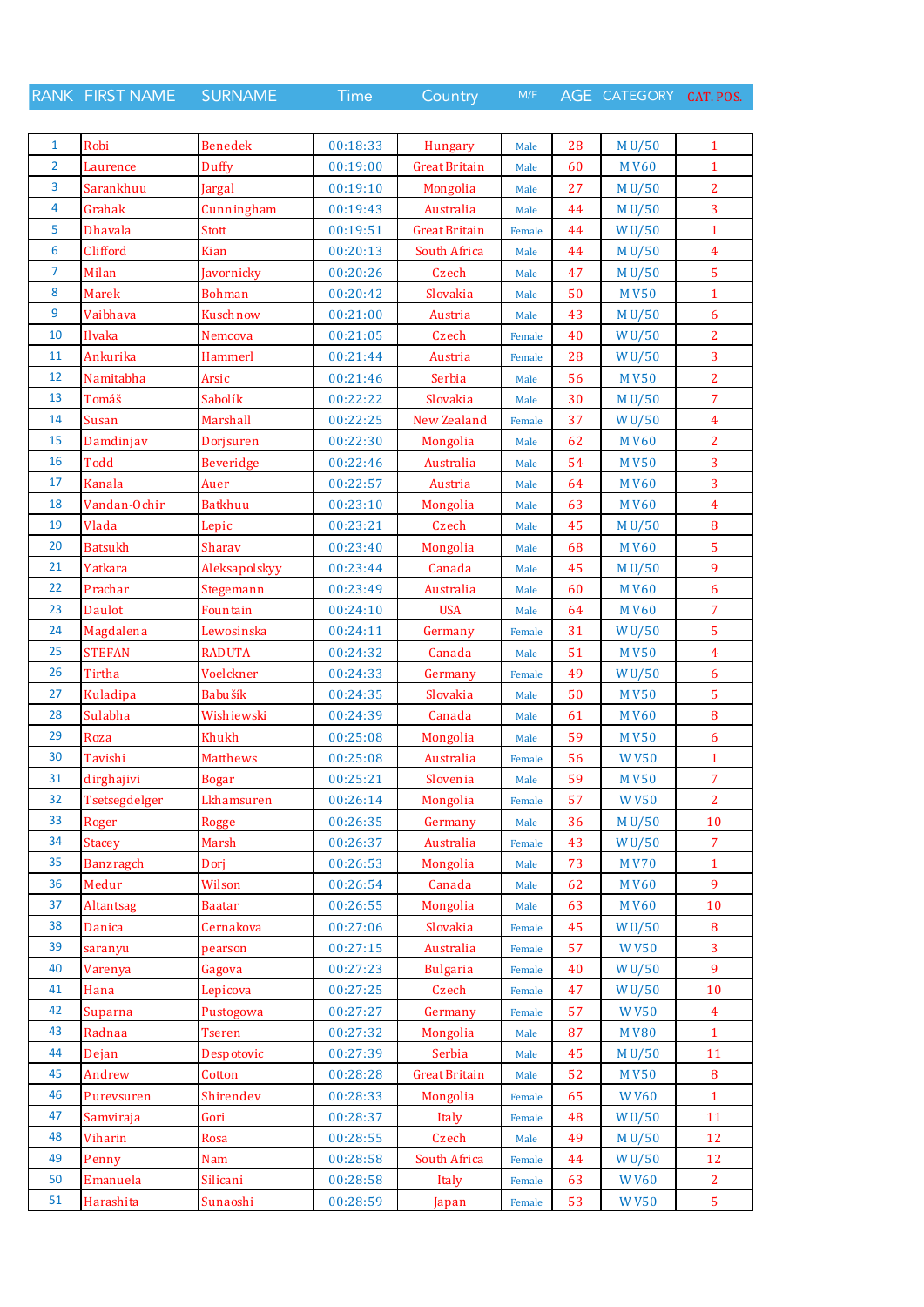RANK FIRST NAME SURNAME Time Country M/F AGE CATEGORY CAT. POS.

| 1  | Robi             | <b>Benedek</b>  | 00:18:33 | <b>Hungary</b>       | Male   | 28 | M U/50      | $\mathbf{1}$   |
|----|------------------|-----------------|----------|----------------------|--------|----|-------------|----------------|
| 2  | Laurence         | Duffy           | 00:19:00 | <b>Great Britain</b> | Male   | 60 | <b>MV60</b> | $\mathbf{1}$   |
| 3  | Sarankhuu        | Jargal          | 00:19:10 | Mongolia             | Male   | 27 | M U/50      | $\overline{2}$ |
| 4  | Grahak           | Cunningham      | 00:19:43 | Australia            | Male   | 44 | M U/50      | $\overline{3}$ |
| 5  | <b>Dhavala</b>   | <b>Stott</b>    | 00:19:51 | <b>Great Britain</b> | Female | 44 | WU/50       | $\mathbf{1}$   |
| 6  | Clifford         | Kian            | 00:20:13 | South Africa         | Male   | 44 | M U/50      | $\overline{4}$ |
| 7  | Milan            | Javornicky      | 00:20:26 | Czech                | Male   | 47 | M U/50      | 5              |
| 8  | <b>Marek</b>     | <b>Bohman</b>   | 00:20:42 | Slovakia             | Male   | 50 | <b>MV50</b> | $\mathbf{1}$   |
| 9  | Vaibhava         | Kuschnow        | 00:21:00 | Austria              | Male   | 43 | M U/50      | 6              |
| 10 | Ilvaka           | Nemcova         | 00:21:05 | Czech                | Female | 40 | WU/50       | $\overline{2}$ |
| 11 | Ankurika         | Hammerl         | 00:21:44 | Austria              | Female | 28 | WU/50       | 3              |
| 12 | Namitabha        | Arsic           | 00:21:46 | Serbia               | Male   | 56 | <b>MV50</b> | $\overline{2}$ |
| 13 | Tomáš            | Sabolík         | 00:22:22 | Slovakia             | Male   | 30 | M U/50      | $\overline{7}$ |
| 14 | Susan            | Marshall        | 00:22:25 | New Zealand          | Female | 37 | WU/50       | $\overline{4}$ |
| 15 | Damdinjav        | Dorisuren       | 00:22:30 | Mongolia             | Male   | 62 | <b>MV60</b> | $\overline{2}$ |
| 16 | <b>Todd</b>      | Beveridge       | 00:22:46 | Australia            | Male   | 54 | <b>MV50</b> | $\overline{3}$ |
| 17 | <b>Kanala</b>    | Auer            | 00:22:57 | Austria              | Male   | 64 | <b>MV60</b> | 3              |
| 18 | Vandan-Ochir     | <b>Batkhuu</b>  | 00:23:10 | Mongolia             | Male   | 63 | <b>MV60</b> | $\overline{4}$ |
| 19 | Vlada            | Lepic           | 00:23:21 | Czech                | Male   | 45 | M U/50      | 8              |
| 20 | <b>Batsukh</b>   | Sharav          | 00:23:40 | Mongolia             | Male   | 68 | <b>MV60</b> | 5              |
| 21 | Yatkara          | Aleksapolskyy   | 00:23:44 | Canada               | Male   | 45 | M U/50      | 9              |
| 22 | Prachar          | Stegemann       | 00:23:49 | Australia            | Male   | 60 | <b>MV60</b> | 6              |
| 23 | <b>Daulot</b>    | Fountain        | 00:24:10 | <b>USA</b>           | Male   | 64 | <b>MV60</b> | $\overline{7}$ |
| 24 | Magdalena        | Lewosinska      | 00:24:11 | Germany              | Female | 31 | WU/50       | 5              |
| 25 | <b>STEFAN</b>    | <b>RADUTA</b>   | 00:24:32 | Canada               | Male   | 51 | <b>MV50</b> | $\overline{4}$ |
| 26 | Tirtha           | Voelckner       | 00:24:33 | Germany              | Female | 49 | WU/50       | 6              |
| 27 | Kuladipa         | Babušík         | 00:24:35 | Slovakia             | Male   | 50 | <b>MV50</b> | 5              |
| 28 | Sulabha          | Wishiewski      | 00:24:39 | Canada               | Male   | 61 | <b>MV60</b> | 8              |
| 29 | Roza             | Khukh           | 00:25:08 | Mongolia             | Male   | 59 | <b>MV50</b> | 6              |
| 30 | Tavishi          | <b>Matthews</b> | 00:25:08 | Australia            | Female | 56 | <b>WV50</b> | $\mathbf{1}$   |
| 31 | dirghajivi       | <b>Bogar</b>    | 00:25:21 | Slovenia             | Male   | 59 | <b>MV50</b> | 7              |
| 32 | Tsetsegdelger    | Lkhamsuren      | 00:26:14 | Mongolia             | Female | 57 | <b>WV50</b> | $\overline{2}$ |
| 33 | Roger            | <b>Rogge</b>    | 00:26:35 | Germany              | Male   | 36 | M U/50      | $10\,$         |
| 34 | <b>Stacey</b>    | Marsh           | 00:26:37 | Australia            | Female | 43 | WU/50       | $\overline{7}$ |
| 35 | <b>Banzragch</b> | Dorj            | 00:26:53 | Mongolia             | Male   | 73 | <b>MV70</b> | $\mathbf{1}$   |
| 36 | Medur            | Wilson          | 00:26:54 | Canada               | Male   | 62 | <b>MV60</b> | 9              |
| 37 | Altantsag        | <b>Baatar</b>   | 00:26:55 | Mongolia             | Male   | 63 | <b>MV60</b> | 10             |
| 38 | Danica           | Cernakova       | 00:27:06 | Slovakia             | Female | 45 | WU/50       | $\bf{8}$       |
| 39 | saranyu          | pearson         | 00:27:15 | Australia            | Female | 57 | <b>WV50</b> | 3              |
| 40 | Varenya          | Gagova          | 00:27:23 | <b>Bulgaria</b>      | Female | 40 | WU/50       | 9              |
| 41 | Hana             | Lepicova        | 00:27:25 | Czech                | Female | 47 | WU/50       | $10\,$         |
| 42 | Suparna          | Pustogowa       | 00:27:27 | Germany              | Female | 57 | <b>WV50</b> | $\overline{4}$ |
| 43 | Radnaa           | <b>Tseren</b>   | 00:27:32 | Mongolia             | Male   | 87 | <b>MV80</b> | $\mathbf{1}$   |
| 44 | Dejan            | Despotovic      | 00:27:39 | Serbia               | Male   | 45 | M U/50      | 11             |
| 45 | Andrew           | Cotton          | 00:28:28 | <b>Great Britain</b> | Male   | 52 | <b>MV50</b> | 8              |
| 46 | Purevsuren       | Shirendev       | 00:28:33 | Mongolia             | Female | 65 | <b>WV60</b> | $\mathbf{1}$   |
| 47 | Samviraja        | Gori            | 00:28:37 | Italy                | Female | 48 | WU/50       | 11             |
| 48 | Viharin          | Rosa            | 00:28:55 | Czech                | Male   | 49 | M U/50      | 12             |
| 49 | Penny            | <b>Nam</b>      | 00:28:58 | South Africa         | Female | 44 | WU/50       | 12             |
| 50 | Emanuela         | Silicani        | 00:28:58 | Italy                | Female | 63 | <b>WV60</b> | $\overline{2}$ |
| 51 | Harashita        | Sunaoshi        | 00:28:59 | Japan                | Female | 53 | <b>WV50</b> | $\overline{5}$ |
|    |                  |                 |          |                      |        |    |             |                |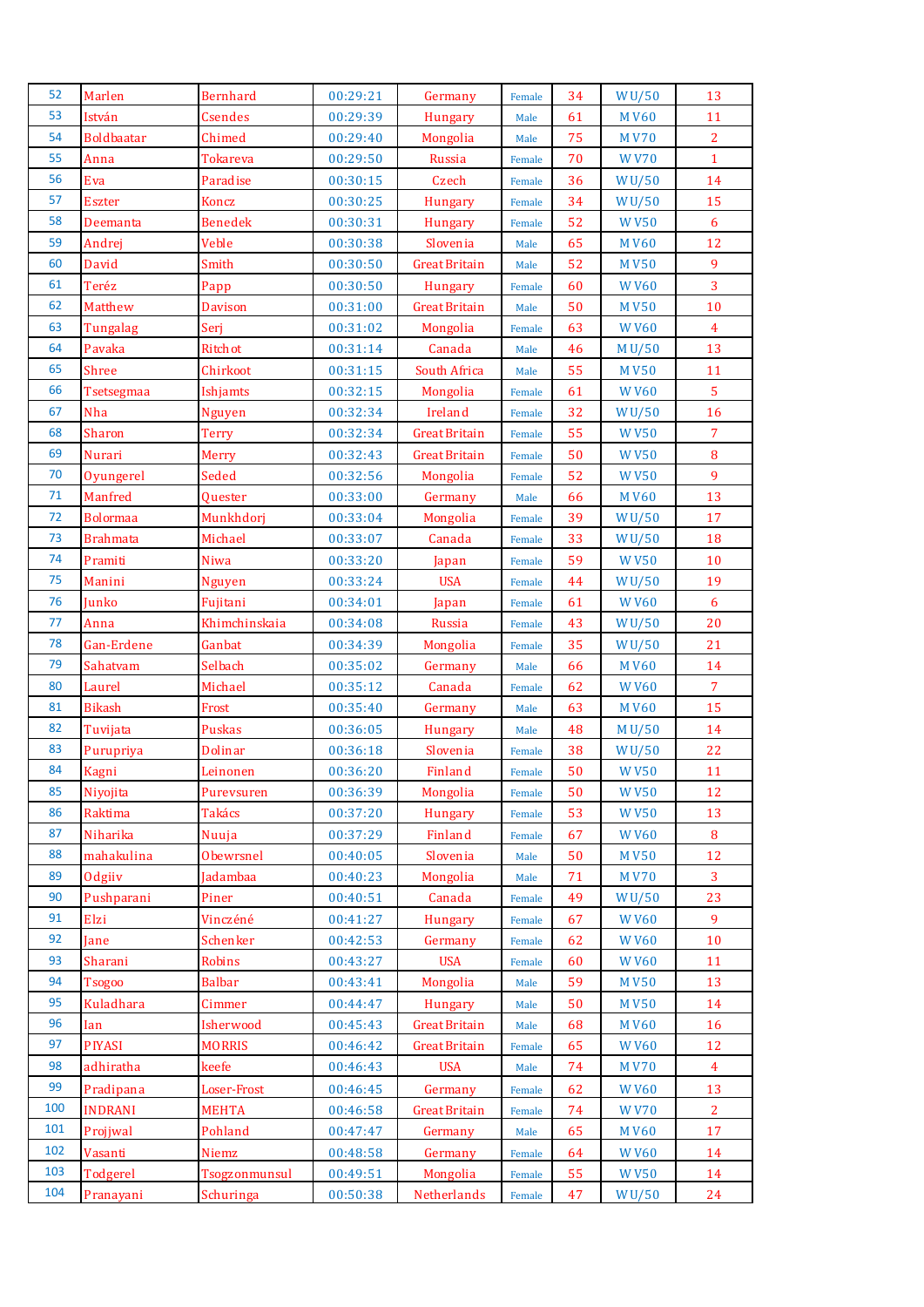| 52  | Marlen            | <b>Bernhard</b>           | 00:29:21 | Germany              | Female | 34 | WU/50        | 13              |
|-----|-------------------|---------------------------|----------|----------------------|--------|----|--------------|-----------------|
| 53  | István            | <b>Csendes</b>            | 00:29:39 | Hungary              | Male   | 61 | <b>MV60</b>  | 11              |
| 54  | <b>Boldbaatar</b> | Chimed                    | 00:29:40 | Mongolia             | Male   | 75 | <b>MV70</b>  | $\overline{2}$  |
| 55  | Anna              | <b>Tokareva</b>           | 00:29:50 | Russia               | Female | 70 | <b>WV70</b>  | $\mathbf{1}$    |
| 56  | Eva               | Paradise                  | 00:30:15 | Czech                | Female | 36 | WU/50        | 14              |
| 57  | <b>Eszter</b>     | Koncz                     | 00:30:25 | <b>Hungary</b>       | Female | 34 | WU/50        | 15              |
| 58  | Deemanta          | <b>Benedek</b>            | 00:30:31 | <b>Hungary</b>       | Female | 52 | <b>WV50</b>  | $6\phantom{1}6$ |
| 59  | Andrej            | Veble                     | 00:30:38 | Slovenia             | Male   | 65 | <b>MV60</b>  | 12              |
| 60  | David             | Smith                     | 00:30:50 | <b>Great Britain</b> | Male   | 52 | <b>MV50</b>  | 9               |
| 61  | Teréz             | Papp                      | 00:30:50 | <b>Hungary</b>       | Female | 60 | <b>WV60</b>  | $\overline{3}$  |
| 62  | Matthew           | <b>Davison</b>            | 00:31:00 | <b>Great Britain</b> | Male   | 50 | <b>MV50</b>  | 10              |
| 63  | Tungalag          | Serj                      | 00:31:02 | Mongolia             | Female | 63 | <b>WV60</b>  | $\overline{4}$  |
| 64  | Pavaka            | Ritchot                   | 00:31:14 | Canada               | Male   | 46 | M U/50       | 13              |
| 65  | Shree             | Chirkoot                  | 00:31:15 | South Africa         | Male   | 55 | <b>MV50</b>  | 11              |
| 66  | Tsetsegmaa        | Ishjamts                  | 00:32:15 | Mongolia             | Female | 61 | <b>WV60</b>  | $\overline{5}$  |
| 67  | Nha               | <b>Nguyen</b>             | 00:32:34 | Ireland              | Female | 32 | WU/50        | 16              |
| 68  | Sharon            | <b>Terry</b>              | 00:32:34 | <b>Great Britain</b> | Female | 55 | <b>WV50</b>  | $\overline{7}$  |
| 69  | <b>Nurari</b>     | <b>Merry</b>              | 00:32:43 | <b>Great Britain</b> | Female | 50 | <b>WV50</b>  | 8               |
| 70  | Oyungerel         | Seded                     | 00:32:56 | Mongolia             | Female | 52 | <b>WV50</b>  | $\overline{9}$  |
| 71  | Manfred           | Quester                   | 00:33:00 | Germany              | Male   | 66 | <b>MV60</b>  | 13              |
| 72  | <b>Bolormaa</b>   | Munkhdorj                 | 00:33:04 | Mongolia             | Female | 39 | W U/50       | 17              |
| 73  | <b>Brahmata</b>   | Michael                   | 00:33:07 | Canada               | Female | 33 | WU/50        | 18              |
| 74  | Pramiti           | Niwa                      | 00:33:20 | Japan                | Female | 59 | <b>WV50</b>  | 10              |
| 75  | Manini            | <b>Nguyen</b>             | 00:33:24 | <b>USA</b>           | Female | 44 | WU/50        | 19              |
| 76  |                   |                           |          |                      |        |    |              | 6               |
| 77  | Junko             | Fujitani<br>Khimchinskaia | 00:34:01 | Japan                | Female | 61 | <b>WV60</b>  |                 |
| 78  | Anna              |                           | 00:34:08 | Russia               | Female | 43 | <b>WU/50</b> | 20              |
|     | Gan-Erdene        | Ganbat                    | 00:34:39 | Mongolia             | Female | 35 | WU/50        | 21              |
| 79  | Sahatvam          | Selbach                   | 00:35:02 | Germany              | Male   | 66 | <b>MV60</b>  | 14              |
| 80  | Laurel            | Michael                   | 00:35:12 | Canada               | Female | 62 | <b>WV60</b>  | $\overline{7}$  |
| 81  | <b>Bikash</b>     | Frost                     | 00:35:40 | Germany              | Male   | 63 | <b>MV60</b>  | 15              |
| 82  | Tuvijata          | Puskas                    | 00:36:05 | Hungary              | Male   | 48 | M U/50       | 14              |
| 83  | Purupriya         | Dolinar                   | 00:36:18 | Slovenia             | Female | 38 | WU/50        | 22              |
| 84  | Kagni             | Leinonen                  | 00:36:20 | Finland              | Female | 50 | <b>WV50</b>  | 11              |
| 85  | Niyojita          | Purevsuren                | 00:36:39 | Mongolia             | Female | 50 | <b>WV50</b>  | 12              |
| 86  | Raktima           | <b>Takács</b>             | 00:37:20 | Hungary              | Female | 53 | <b>WV50</b>  | 13              |
| 87  | Niharika          | Nuuja                     | 00:37:29 | Finland              | Female | 67 | <b>WV60</b>  | 8               |
| 88  | mahakulina        | <b>Obewrsnel</b>          | 00:40:05 | Slovenia             | Male   | 50 | <b>MV50</b>  | 12              |
| 89  | Odgiiv            | Jadambaa                  | 00:40:23 | Mongolia             | Male   | 71 | <b>MV70</b>  | 3               |
| 90  | Pushparani        | Piner                     | 00:40:51 | Canada               | Female | 49 | <b>WU/50</b> | 23              |
| 91  | Elzi              | Vinczéné                  | 00:41:27 | Hungary              | Female | 67 | <b>WV60</b>  | 9               |
| 92  | Jane              | Schenker                  | 00:42:53 | Germany              | Female | 62 | <b>WV60</b>  | 10              |
| 93  | Sharani           | Robins                    | 00:43:27 | <b>USA</b>           | Female | 60 | <b>WV60</b>  | 11              |
| 94  | <b>Tsogoo</b>     | <b>Balbar</b>             | 00:43:41 | Mongolia             | Male   | 59 | <b>MV50</b>  | 13              |
| 95  | Kuladhara         | Cimmer                    | 00:44:47 | Hungary              | Male   | 50 | <b>MV50</b>  | 14              |
| 96  | Ian               | Isherwood                 | 00:45:43 | <b>Great Britain</b> | Male   | 68 | <b>MV60</b>  | 16              |
| 97  | <b>PIYASI</b>     | <b>MORRIS</b>             | 00:46:42 | <b>Great Britain</b> | Female | 65 | <b>WV60</b>  | 12              |
| 98  | adhiratha         | keefe                     | 00:46:43 | <b>USA</b>           | Male   | 74 | <b>MV70</b>  | $\overline{4}$  |
| 99  | Pradipana         | Loser-Frost               | 00:46:45 | Germany              | Female | 62 | <b>WV60</b>  | 13              |
| 100 | <b>INDRANI</b>    | <b>MEHTA</b>              | 00:46:58 | <b>Great Britain</b> | Female | 74 | <b>WV70</b>  | $\overline{2}$  |
| 101 | Projjwal          | Pohland                   | 00:47:47 | Germany              | Male   | 65 | <b>MV60</b>  | 17              |
| 102 | Vasanti           | Niemz                     | 00:48:58 | Germany              | Female | 64 | <b>WV60</b>  | 14              |
| 103 | Todgerel          | Tsogzonmunsul             | 00:49:51 | Mongolia             | Female | 55 | <b>WV50</b>  | 14              |
| 104 | Pranayani         | Schuringa                 | 00:50:38 | Netherlands          | Female | 47 | WU/50        | 24              |
|     |                   |                           |          |                      |        |    |              |                 |